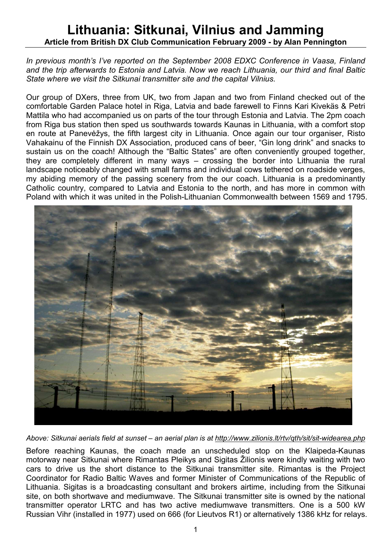## Lithuania: Sitkunai, Vilnius and Jamming Article from British DX Club Communication February 2009 - by Alan Pennington

## In previous month's I've reported on the September 2008 EDXC Conference in Vaasa, Finland and the trip afterwards to Estonia and Latvia. Now we reach Lithuania, our third and final Baltic State where we visit the Sitkunai transmitter site and the capital Vilnius.

Our group of DXers, three from UK, two from Japan and two from Finland checked out of the comfortable Garden Palace hotel in Riga, Latvia and bade farewell to Finns Kari Kivekäs & Petri Mattila who had accompanied us on parts of the tour through Estonia and Latvia. The 2pm coach from Riga bus station then sped us southwards towards Kaunas in Lithuania, with a comfort stop en route at Panevėžys, the fifth largest city in Lithuania. Once again our tour organiser, Risto Vahakainu of the Finnish DX Association, produced cans of beer, "Gin long drink" and snacks to sustain us on the coach! Although the "Baltic States" are often conveniently grouped together, they are completely different in many ways – crossing the border into Lithuania the rural landscape noticeably changed with small farms and individual cows tethered on roadside verges, my abiding memory of the passing scenery from the our coach. Lithuania is a predominantly Catholic country, compared to Latvia and Estonia to the north, and has more in common with Poland with which it was united in the Polish-Lithuanian Commonwealth between 1569 and 1795.



Above: Sitkunai aerials field at sunset – an aerial plan is at http://www.zilionis.lt/rtv/qth/sit/sit-widearea.php

Before reaching Kaunas, the coach made an unscheduled stop on the Klaipeda-Kaunas motorway near Sitkunai where Rimantas Pleikys and Sigitas Žilionis were kindly waiting with two cars to drive us the short distance to the Sitkunai transmitter site. Rimantas is the Project Coordinator for Radio Baltic Waves and former Minister of Communications of the Republic of Lithuania. Sigitas is a broadcasting consultant and brokers airtime, including from the Sitkunai site, on both shortwave and mediumwave. The Sitkunai transmitter site is owned by the national transmitter operator LRTC and has two active mediumwave transmitters. One is a 500 kW Russian Vihr (installed in 1977) used on 666 (for Lieutvos R1) or alternatively 1386 kHz for relays.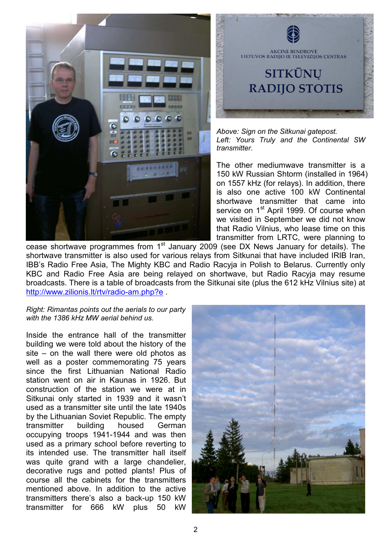



Above: Sign on the Sitkunai gatepost. Left: Yours Truly and the Continental SW transmitter.

The other mediumwave transmitter is a 150 kW Russian Shtorm (installed in 1964) on 1557 kHz (for relays). In addition, there is also one active 100 kW Continental shortwave transmitter that came into service on 1<sup>st</sup> April 1999. Of course when we visited in September we did not know that Radio Vilnius, who lease time on this transmitter from LRTC, were planning to

cease shortwave programmes from  $1<sup>st</sup>$  January 2009 (see DX News January for details). The shortwave transmitter is also used for various relays from Sitkunai that have included IRIB Iran, IBB's Radio Free Asia, The Mighty KBC and Radio Racyja in Polish to Belarus. Currently only KBC and Radio Free Asia are being relayed on shortwave, but Radio Racyja may resume broadcasts. There is a table of broadcasts from the Sitkunai site (plus the 612 kHz Vilnius site) at http://www.zilionis.lt/rtv/radio-am.php?e .

## Right: Rimantas points out the aerials to our party with the 1386 kHz MW aerial behind us.

Inside the entrance hall of the transmitter building we were told about the history of the site – on the wall there were old photos as well as a poster commemorating 75 years since the first Lithuanian National Radio station went on air in Kaunas in 1926. But construction of the station we were at in Sitkunai only started in 1939 and it wasn't used as a transmitter site until the late 1940s by the Lithuanian Soviet Republic. The empty transmitter building housed German occupying troops 1941-1944 and was then used as a primary school before reverting to its intended use. The transmitter hall itself was quite grand with a large chandelier, decorative rugs and potted plants! Plus of course all the cabinets for the transmitters mentioned above. In addition to the active transmitters there's also a back-up 150 kW transmitter for 666 kW plus 50 kW

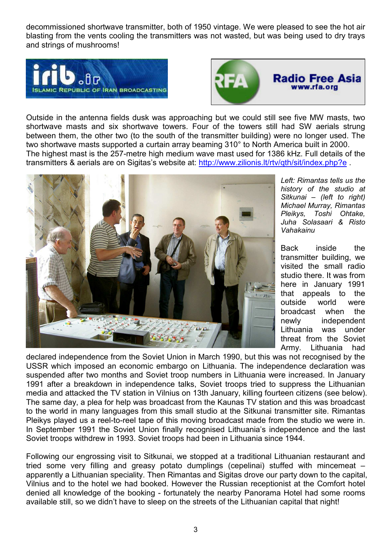decommissioned shortwave transmitter, both of 1950 vintage. We were pleased to see the hot air blasting from the vents cooling the transmitters was not wasted, but was being used to dry trays and strings of mushrooms!





Outside in the antenna fields dusk was approaching but we could still see five MW masts, two shortwave masts and six shortwave towers. Four of the towers still had SW aerials strung between them, the other two (to the south of the transmitter building) were no longer used. The two shortwave masts supported a curtain array beaming 310° to North America built in 2000. The highest mast is the 257-metre high medium wave mast used for 1386 kHz. Full details of the transmitters & aerials are on Sigitas's website at: http://www.zilionis.lt/rtv/qth/sit/index.php?e .



Left: Rimantas tells us the history of the studio at Sitkunai – (left to right) Michael Murray, Rimantas Pleikys, Toshi Ohtake, Juha Solasaari & Risto Vahakainu

Back inside the transmitter building, we visited the small radio studio there. It was from here in January 1991 that appeals to the outside world were broadcast when the newly independent Lithuania was under threat from the Soviet Army. Lithuania had

declared independence from the Soviet Union in March 1990, but this was not recognised by the USSR which imposed an economic embargo on Lithuania. The independence declaration was suspended after two months and Soviet troop numbers in Lithuania were increased. In January 1991 after a breakdown in independence talks, Soviet troops tried to suppress the Lithuanian media and attacked the TV station in Vilnius on 13th January, killing fourteen citizens (see below). The same day, a plea for help was broadcast from the Kaunas TV station and this was broadcast to the world in many languages from this small studio at the Sitkunai transmitter site. Rimantas Pleikys played us a reel-to-reel tape of this moving broadcast made from the studio we were in. In September 1991 the Soviet Union finally recognised Lithuania's independence and the last Soviet troops withdrew in 1993. Soviet troops had been in Lithuania since 1944.

Following our engrossing visit to Sitkunai, we stopped at a traditional Lithuanian restaurant and tried some very filling and greasy potato dumplings (cepelinai) stuffed with mincemeat – apparently a Lithuanian speciality. Then Rimantas and Sigitas drove our party down to the capital, Vilnius and to the hotel we had booked. However the Russian receptionist at the Comfort hotel denied all knowledge of the booking - fortunately the nearby Panorama Hotel had some rooms available still, so we didn't have to sleep on the streets of the Lithuanian capital that night!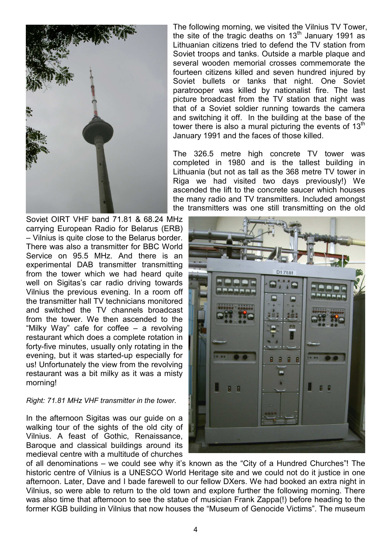

Soviet OIRT VHF band 71.81 & 68.24 MHz carrying European Radio for Belarus (ERB) – Vilnius is quite close to the Belarus border. There was also a transmitter for BBC World Service on 95.5 MHz. And there is an experimental DAB transmitter transmitting from the tower which we had heard quite well on Sigitas's car radio driving towards Vilnius the previous evening. In a room off the transmitter hall TV technicians monitored and switched the TV channels broadcast from the tower. We then ascended to the "Milky Way" cafe for coffee – a revolving restaurant which does a complete rotation in forty-five minutes, usually only rotating in the evening, but it was started-up especially for us! Unfortunately the view from the revolving restaurant was a bit milky as it was a misty morning!

## Right: 71.81 MHz VHF transmitter in the tower.

In the afternoon Sigitas was our guide on a walking tour of the sights of the old city of Vilnius. A feast of Gothic, Renaissance, Baroque and classical buildings around its medieval centre with a multitude of churches

The following morning, we visited the Vilnius TV Tower, the site of the tragic deaths on  $13<sup>th</sup>$  January 1991 as Lithuanian citizens tried to defend the TV station from Soviet troops and tanks. Outside a marble plaque and several wooden memorial crosses commemorate the fourteen citizens killed and seven hundred injured by Soviet bullets or tanks that night. One Soviet paratrooper was killed by nationalist fire. The last picture broadcast from the TV station that night was that of a Soviet soldier running towards the camera and switching it off. In the building at the base of the tower there is also a mural picturing the events of  $13<sup>th</sup>$ January 1991 and the faces of those killed.

The 326.5 metre high concrete TV tower was completed in 1980 and is the tallest building in Lithuania (but not as tall as the 368 metre TV tower in Riga we had visited two days previously!) We ascended the lift to the concrete saucer which houses the many radio and TV transmitters. Included amongst the transmitters was one still transmitting on the old



of all denominations – we could see why it's known as the "City of a Hundred Churches"! The historic centre of Vilnius is a UNESCO World Heritage site and we could not do it justice in one afternoon. Later, Dave and I bade farewell to our fellow DXers. We had booked an extra night in Vilnius, so were able to return to the old town and explore further the following morning. There was also time that afternoon to see the statue of musician Frank Zappa(!) before heading to the former KGB building in Vilnius that now houses the "Museum of Genocide Victims". The museum